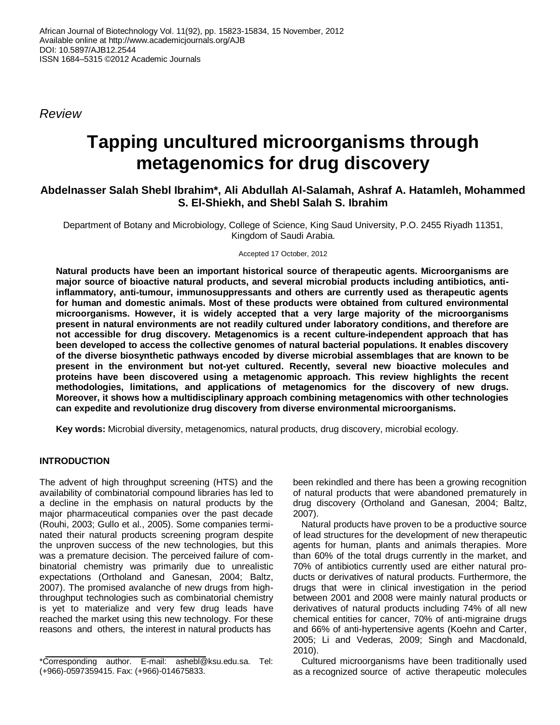*Review*

# **Tapping uncultured microorganisms through metagenomics for drug discovery**

## **Abdelnasser Salah Shebl Ibrahim\*, Ali Abdullah Al-Salamah, Ashraf A. Hatamleh, Mohammed S. El-Shiekh, and Shebl Salah S. Ibrahim**

Department of Botany and Microbiology, College of Science, King Saud University, P.O. 2455 Riyadh 11351, Kingdom of Saudi Arabia.

Accepted 17 October, 2012

**Natural products have been an important historical source of therapeutic agents. Microorganisms are major source of bioactive natural products, and several microbial products including antibiotics, antiinflammatory, anti-tumour, immunosuppressants and others are currently used as therapeutic agents for human and domestic animals. Most of these products were obtained from cultured environmental microorganisms. However, it is widely accepted that a very large majority of the microorganisms present in natural environments are not readily cultured under laboratory conditions, and therefore are not accessible for drug discovery. Metagenomics is a recent culture-independent approach that has been developed to access the collective genomes of natural bacterial populations. It enables discovery of the diverse biosynthetic pathways encoded by diverse microbial assemblages that are known to be present in the environment but not-yet cultured. Recently, several new bioactive molecules and proteins have been discovered using a metagenomic approach. This review highlights the recent methodologies, limitations, and applications of metagenomics for the discovery of new drugs. Moreover, it shows how a multidisciplinary approach combining metagenomics with other technologies can expedite and revolutionize drug discovery from diverse environmental microorganisms.**

**Key words:** Microbial diversity, metagenomics, natural products, drug discovery, microbial ecology.

## **INTRODUCTION**

The advent of high throughput screening (HTS) and the availability of combinatorial compound libraries has led to a decline in the emphasis on natural products by the major pharmaceutical companies over the past decade (Rouhi, 2003; Gullo et al., 2005). Some companies terminated their natural products screening program despite the unproven success of the new technologies, but this was a premature decision. The perceived failure of combinatorial chemistry was primarily due to unrealistic expectations (Ortholand and Ganesan, 2004; Baltz, 2007). The promised avalanche of new drugs from highthroughput technologies such as combinatorial chemistry is yet to materialize and very few drug leads have reached the market using this new technology. For these reasons and others, the interest in natural products has

been rekindled and there has been a growing recognition of natural products that were abandoned prematurely in drug discovery (Ortholand and Ganesan, 2004; Baltz, 2007).

Natural products have proven to be a productive source of lead structures for the development of new therapeutic agents for human, plants and animals therapies. More than 60% of the total drugs currently in the market, and 70% of antibiotics currently used are either natural products or derivatives of natural products. Furthermore, the drugs that were in clinical investigation in the period between 2001 and 2008 were mainly natural products or derivatives of natural products including 74% of all new chemical entities for cancer, 70% of anti-migraine drugs and 66% of anti-hypertensive agents (Koehn and Carter, 2005; Li and Vederas, 2009; Singh and Macdonald, 2010).

Cultured microorganisms have been traditionally used as a recognized source of active therapeutic molecules

<sup>\*</sup>Corresponding author. E-mail: ashebl@ksu.edu.sa. Tel: (+966)-0597359415. Fax: (+966)-014675833.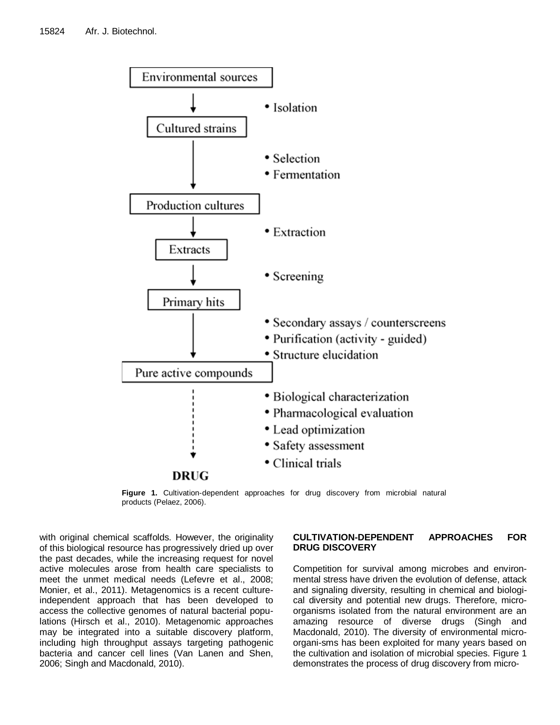

**Figure 1.** Cultivation-dependent approaches for drug discovery from microbial natural products (Pelaez, 2006).

with original chemical scaffolds. However, the originality of this biological resource has progressively dried up over the past decades, while the increasing request for novel active molecules arose from health care specialists to meet the unmet medical needs (Lefevre et al., 2008; Monier, et al., 2011). Metagenomics is a recent cultureindependent approach that has been developed to access the collective genomes of natural bacterial populations (Hirsch et al., 2010). Metagenomic approaches may be integrated into a suitable discovery platform, including high throughput assays targeting pathogenic bacteria and cancer cell lines (Van Lanen and Shen, 2006; Singh and Macdonald, 2010).

#### **CULTIVATION-DEPENDENT APPROACHES FOR DRUG DISCOVERY**

Competition for survival among microbes and environmental stress have driven the evolution of defense, attack and signaling diversity, resulting in chemical and biological diversity and potential new drugs. Therefore, microorganisms isolated from the natural environment are an amazing resource of diverse drugs (Singh and Macdonald, 2010). The diversity of environmental microorgani-sms has been exploited for many years based on the cultivation and isolation of microbial species. Figure 1 demonstrates the process of drug discovery from micro-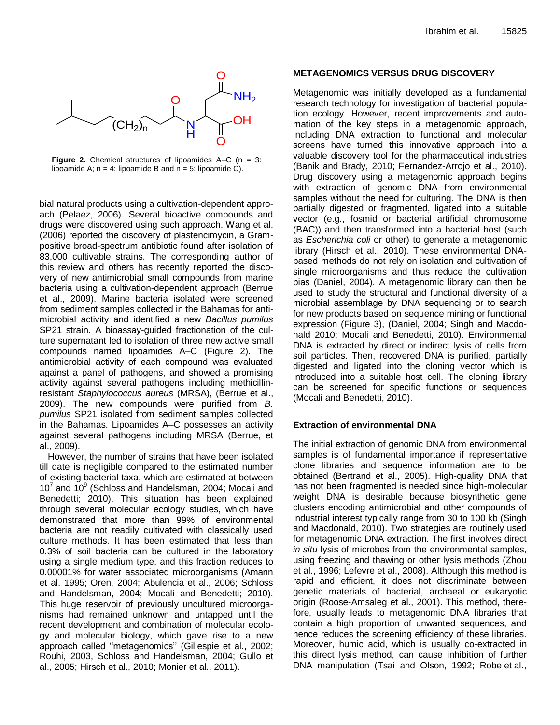

**Figure 2.** Chemical structures of lipoamides A–C (n = 3: lipoamide A;  $n = 4$ : lipoamide B and  $n = 5$ : lipoamide C).

bial natural products using a cultivation-dependent approach (Pelaez, 2006). Several bioactive compounds and drugs were discovered using such approach. Wang et al. (2006) reported the discovery of plastencimycin, a Grampositive broad-spectrum antibiotic found after isolation of 83,000 cultivable strains. The corresponding author of this review and others has recently reported the discovery of new antimicrobial small compounds from marine bacteria using a cultivation-dependent approach (Berrue et al., 2009). Marine bacteria isolated were screened from sediment samples collected in the Bahamas for antimicrobial activity and identified a new *Bacillus pumilus*  SP21 strain. A bioassay-guided fractionation of the culture supernatant led to isolation of three new active small compounds named lipoamides A–C (Figure 2). The antimicrobial activity of each compound was evaluated against a panel of pathogens, and showed a promising activity against several pathogens including methicillinresistant *Staphylococcus aureus* (MRSA), (Berrue et al., 2009). The new compounds were purified from *B. pumilus* SP21 isolated from sediment samples collected in the Bahamas. Lipoamides A–C possesses an activity against several pathogens including MRSA (Berrue, et al., 2009).

However, the number of strains that have been isolated till date is negligible compared to the estimated number of existing bacterial taxa, which are estimated at between  $10^7$  and  $10^9$  (Schloss and Handelsman, 2004; Mocali and Benedetti; 2010). This situation has been explained through several molecular ecology studies, which have demonstrated that more than 99% of environmental bacteria are not readily cultivated with classically used culture methods. It has been estimated that less than 0.3% of soil bacteria can be cultured in the laboratory using a single medium type, and this fraction reduces to 0.00001% for water associated microorganisms (Amann et al. 1995; Oren, 2004; Abulencia et al., 2006; Schloss and Handelsman, 2004; Mocali and Benedetti; 2010). This huge reservoir of previously uncultured microorganisms had remained unknown and untapped until the recent development and combination of molecular ecology and molecular biology, which gave rise to a new approach called ''metagenomics'' (Gillespie et al., 2002; Rouhi, 2003, Schloss and Handelsman, 2004; Gullo et al., 2005; Hirsch et al., 2010; Monier et al., 2011).

#### **METAGENOMICS VERSUS DRUG DISCOVERY**

Metagenomic was initially developed as a fundamental research technology for investigation of bacterial population ecology. However, recent improvements and automation of the key steps in a metagenomic approach, including DNA extraction to functional and molecular screens have turned this innovative approach into a valuable discovery tool for the pharmaceutical industries (Banik and Brady, 2010; Fernandez-Arrojo et al., 2010). Drug discovery using a metagenomic approach begins with extraction of genomic DNA from environmental samples without the need for culturing. The DNA is then partially digested or fragmented, ligated into a suitable vector (e.g., fosmid or bacterial artificial chromosome (BAC)) and then transformed into a bacterial host (such as *Escherichia coli* or other) to generate a metagenomic library (Hirsch et al., 2010). These environmental DNAbased methods do not rely on isolation and cultivation of single microorganisms and thus reduce the cultivation bias (Daniel, 2004). A metagenomic library can then be used to study the structural and functional diversity of a microbial assemblage by DNA sequencing or to search for new products based on sequence mining or functional expression (Figure 3), (Daniel, 2004; Singh and Macdonald 2010; Mocali and Benedetti, 2010). Environmental DNA is extracted by direct or indirect lysis of cells from soil particles. Then, recovered DNA is purified, partially digested and ligated into the cloning vector which is introduced into a suitable host cell. The cloning library can be screened for specific functions or sequences (Mocali and Benedetti, 2010).

#### **Extraction of environmental DNA**

The initial extraction of genomic DNA from environmental samples is of fundamental importance if representative clone libraries and sequence information are to be obtained (Bertrand et al., 2005). High-quality DNA that has not been fragmented is needed since high-molecular weight DNA is desirable because biosynthetic gene clusters encoding antimicrobial and other compounds of industrial interest typically range from 30 to 100 kb (Singh and Macdonald, 2010). Two strategies are routinely used for metagenomic DNA extraction. The first involves direct *in situ* lysis of microbes from the environmental samples, using freezing and thawing or other lysis methods (Zhou et al., 1996; Lefevre et al., 2008). Although this method is rapid and efficient, it does not discriminate between genetic materials of bacterial, archaeal or eukaryotic origin (Roose-Amsaleg et al., 2001). This method, therefore, usually leads to metagenomic DNA libraries that contain a high proportion of unwanted sequences, and hence reduces the screening efficiency of these libraries. Moreover, humic acid, which is usually co-extracted in this direct lysis method, can cause inhibition of further DNA manipulation (Tsai and Olson, 1992; Robe et al.,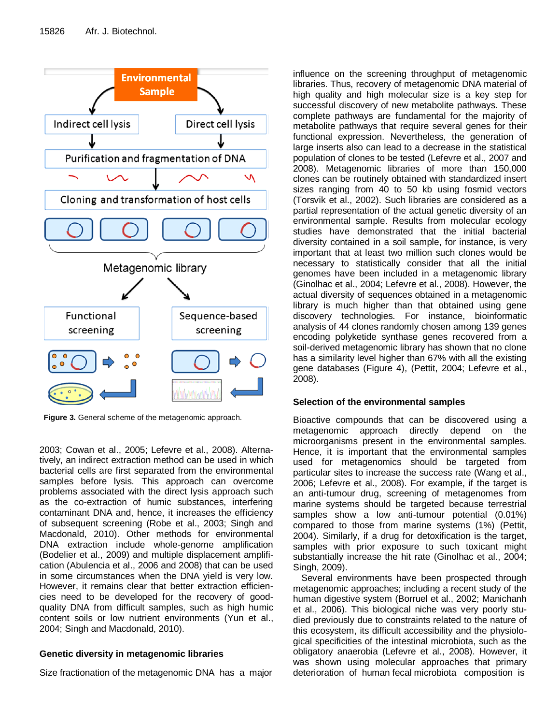

**Figure 3.** General scheme of the metagenomic approach.

2003; Cowan et al., 2005; Lefevre et al., 2008). Alternatively, an indirect extraction method can be used in which bacterial cells are first separated from the environmental samples before lysis. This approach can overcome problems associated with the direct lysis approach such as the co-extraction of humic substances, interfering contaminant DNA and, hence, it increases the efficiency of subsequent screening (Robe et al., 2003; Singh and Macdonald, 2010). Other methods for environmental DNA extraction include whole-genome amplification (Bodelier et al., 2009) and multiple displacement amplification (Abulencia et al., 2006 and 2008) that can be used in some circumstances when the DNA yield is very low. However, it remains clear that better extraction efficiencies need to be developed for the recovery of goodquality DNA from difficult samples, such as high humic content soils or low nutrient environments (Yun et al., 2004; Singh and Macdonald, 2010).

## **Genetic diversity in metagenomic libraries**

Size fractionation of the metagenomic DNA has a major

influence on the screening throughput of metagenomic libraries. Thus, recovery of metagenomic DNA material of high quality and high molecular size is a key step for successful discovery of new metabolite pathways. These complete pathways are fundamental for the majority of metabolite pathways that require several genes for their functional expression. Nevertheless, the generation of large inserts also can lead to a decrease in the statistical population of clones to be tested (Lefevre et al., 2007 and 2008). Metagenomic libraries of more than 150,000 clones can be routinely obtained with standardized insert sizes ranging from 40 to 50 kb using fosmid vectors (Torsvik et al., 2002). Such libraries are considered as a partial representation of the actual genetic diversity of an environmental sample. Results from molecular ecology studies have demonstrated that the initial bacterial diversity contained in a soil sample, for instance, is very important that at least two million such clones would be necessary to statistically consider that all the initial genomes have been included in a metagenomic library (Ginolhac et al., 2004; Lefevre et al., 2008). However, the actual diversity of sequences obtained in a metagenomic library is much higher than that obtained using gene discovery technologies. For instance, bioinformatic analysis of 44 clones randomly chosen among 139 genes encoding polyketide synthase genes recovered from a soil-derived metagenomic library has shown that no clone has a similarity level higher than 67% with all the existing gene databases (Figure 4), (Pettit, 2004; Lefevre et al., 2008).

## **Selection of the environmental samples**

Bioactive compounds that can be discovered using a metagenomic approach directly depend on the microorganisms present in the environmental samples. Hence, it is important that the environmental samples used for metagenomics should be targeted from particular sites to increase the success rate (Wang et al., 2006; Lefevre et al., 2008). For example, if the target is an anti-tumour drug, screening of metagenomes from marine systems should be targeted because terrestrial samples show a low anti-tumour potential (0.01%) compared to those from marine systems (1%) (Pettit, 2004). Similarly, if a drug for detoxification is the target, samples with prior exposure to such toxicant might substantially increase the hit rate (Ginolhac et al., 2004; Singh, 2009).

Several environments have been prospected through metagenomic approaches; including a recent study of the human digestive system (Borruel et al., 2002; Manichanh et al., 2006). This biological niche was very poorly studied previously due to constraints related to the nature of this ecosystem, its difficult accessibility and the physiological specificities of the intestinal microbiota, such as the obligatory anaerobia (Lefevre et al., 2008). However, it was shown using molecular approaches that primary deterioration of human fecal microbiota composition is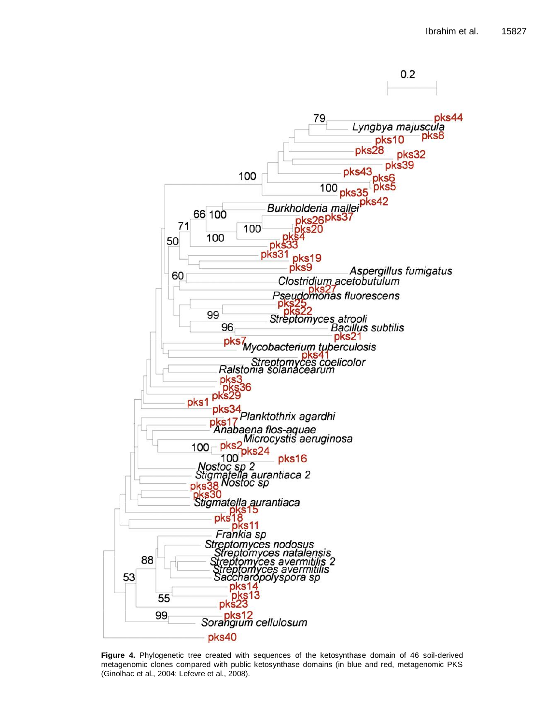

**Figure 4.** Phylogenetic tree created with sequences of the ketosynthase domain of 46 soil-derived metagenomic clones compared with public ketosynthase domains (in blue and red, metagenomic PKS (Ginolhac et al., 2004; Lefevre et al., 2008).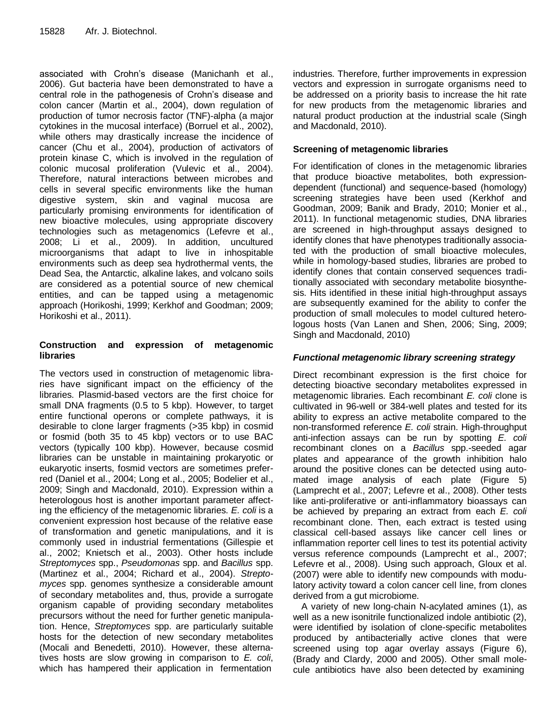associated with Crohn's disease (Manichanh et al., 2006). Gut bacteria have been demonstrated to have a central role in the pathogenesis of Crohn's disease and colon cancer (Martin et al., 2004), down regulation of production of tumor necrosis factor (TNF)-alpha (a major cytokines in the mucosal interface) (Borruel et al., 2002), while others may drastically increase the incidence of cancer (Chu et al., 2004), production of activators of protein kinase C, which is involved in the regulation of colonic mucosal proliferation (Vulevic et al., 2004). Therefore, natural interactions between microbes and cells in several specific environments like the human digestive system, skin and vaginal mucosa are particularly promising environments for identification of new bioactive molecules, using appropriate discovery technologies such as metagenomics (Lefevre et al., 2008; Li et al., 2009). In addition, uncultured microorganisms that adapt to live in inhospitable environments such as deep sea hydrothermal vents, the Dead Sea, the Antarctic, alkaline lakes, and volcano soils are considered as a potential source of new chemical entities, and can be tapped using a metagenomic approach (Horikoshi, 1999; Kerkhof and Goodman; 2009; Horikoshi et al., 2011).

#### **Construction and expression of metagenomic libraries**

The vectors used in construction of metagenomic libraries have significant impact on the efficiency of the libraries. Plasmid-based vectors are the first choice for small DNA fragments (0.5 to 5 kbp). However, to target entire functional operons or complete pathways, it is desirable to clone larger fragments (>35 kbp) in cosmid or fosmid (both 35 to 45 kbp) vectors or to use BAC vectors (typically 100 kbp). However, because cosmid libraries can be unstable in maintaining prokaryotic or eukaryotic inserts, fosmid vectors are sometimes preferred (Daniel et al., 2004; Long et al., 2005; Bodelier et al., 2009; Singh and Macdonald, 2010). Expression within a heterologous host is another important parameter affecting the efficiency of the metagenomic libraries. *E. coli* is a convenient expression host because of the relative ease of transformation and genetic manipulations, and it is commonly used in industrial fermentations (Gillespie et al., 2002; Knietsch et al., 2003). Other hosts include *Streptomyces* spp., *Pseudomonas* spp. and *Bacillus* spp. (Martinez et al., 2004; Richard et al., 2004). *Streptomyces* spp. genomes synthesize a considerable amount of secondary metabolites and, thus, provide a surrogate organism capable of providing secondary metabolites precursors without the need for further genetic manipulation. Hence, *Streptomyces* spp. are particularly suitable hosts for the detection of new secondary metabolites (Mocali and Benedetti, 2010). However, these alternatives hosts are slow growing in comparison to *E. coli*, which has hampered their application in fermentation

industries. Therefore, further improvements in expression vectors and expression in surrogate organisms need to be addressed on a priority basis to increase the hit rate for new products from the metagenomic libraries and natural product production at the industrial scale (Singh and Macdonald, 2010).

#### **Screening of metagenomic libraries**

For identification of clones in the metagenomic libraries that produce bioactive metabolites, both expressiondependent (functional) and sequence-based (homology) screening strategies have been used (Kerkhof and Goodman, 2009; Banik and Brady, 2010; Monier et al., 2011). In functional metagenomic studies, DNA libraries are screened in high-throughput assays designed to identify clones that have phenotypes traditionally associated with the production of small bioactive molecules, while in homology-based studies, libraries are probed to identify clones that contain conserved sequences traditionally associated with secondary metabolite biosynthesis. Hits identified in these initial high-throughput assays are subsequently examined for the ability to confer the production of small molecules to model cultured heterologous hosts (Van Lanen and Shen, 2006; Sing, 2009; Singh and Macdonald, 2010)

## *Functional metagenomic library screening strategy*

Direct recombinant expression is the first choice for detecting bioactive secondary metabolites expressed in metagenomic libraries. Each recombinant *E. coli* clone is cultivated in 96-well or 384-well plates and tested for its ability to express an active metabolite compared to the non-transformed reference *E. coli* strain. High-throughput anti-infection assays can be run by spotting *E. coli* recombinant clones on a *Bacillus* spp.-seeded agar plates and appearance of the growth inhibition halo around the positive clones can be detected using automated image analysis of each plate (Figure 5) (Lamprecht et al., 2007; Lefevre et al., 2008). Other tests like anti-proliferative or anti-inflammatory bioassays can be achieved by preparing an extract from each *E. coli* recombinant clone. Then, each extract is tested using classical cell-based assays like cancer cell lines or inflammation reporter cell lines to test its potential activity versus reference compounds (Lamprecht et al., 2007; Lefevre et al., 2008). Using such approach, Gloux et al. (2007) were able to identify new compounds with modulatory activity toward a colon cancer cell line, from clones derived from a gut microbiome.

A variety of new long-chain N-acylated amines (1), as well as a new isonitrile functionalized indole antibiotic (2), were identified by isolation of clone-specific metabolites produced by antibacterially active clones that were screened using top agar overlay assays (Figure 6), (Brady and Clardy, 2000 and 2005). Other small molecule antibiotics have also been detected by examining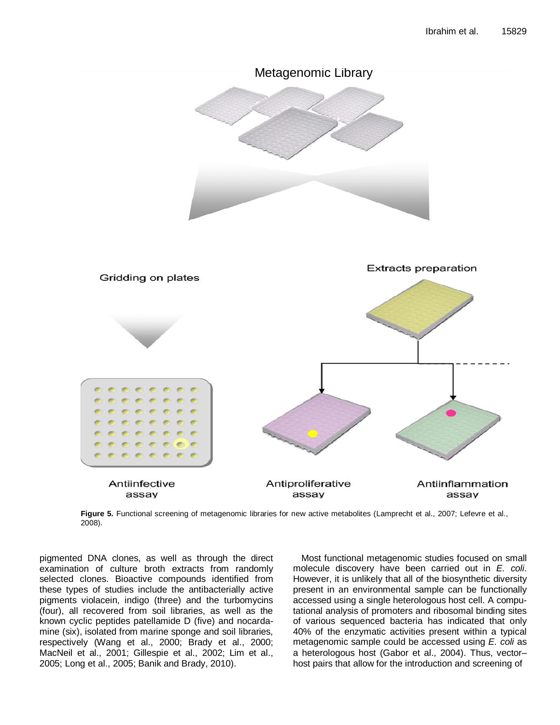

**Figure 5.** Functional screening of metagenomic libraries for new active metabolites (Lamprecht et al., 2007; Lefevre et al., 2008).

pigmented DNA clones, as well as through the direct examination of culture broth extracts from randomly selected clones. Bioactive compounds identified from these types of studies include the antibacterially active pigments violacein, indigo (three) and the turbomycins (four), all recovered from soil libraries, as well as the known cyclic peptides patellamide D (five) and nocardamine (six), isolated from marine sponge and soil libraries, respectively (Wang et al., 2000; Brady et al., 2000; MacNeil et al., 2001; Gillespie et al., 2002; Lim et al., 2005; Long et al., 2005; Banik and Brady, 2010).

Most functional metagenomic studies focused on small molecule discovery have been carried out in *E. coli*. However, it is unlikely that all of the biosynthetic diversity present in an environmental sample can be functionally accessed using a single heterologous host cell. A computational analysis of promoters and ribosomal binding sites of various sequenced bacteria has indicated that only 40% of the enzymatic activities present within a typical metagenomic sample could be accessed using *E. coli* as a heterologous host (Gabor et al., 2004). Thus, vector– host pairs that allow for the introduction and screening of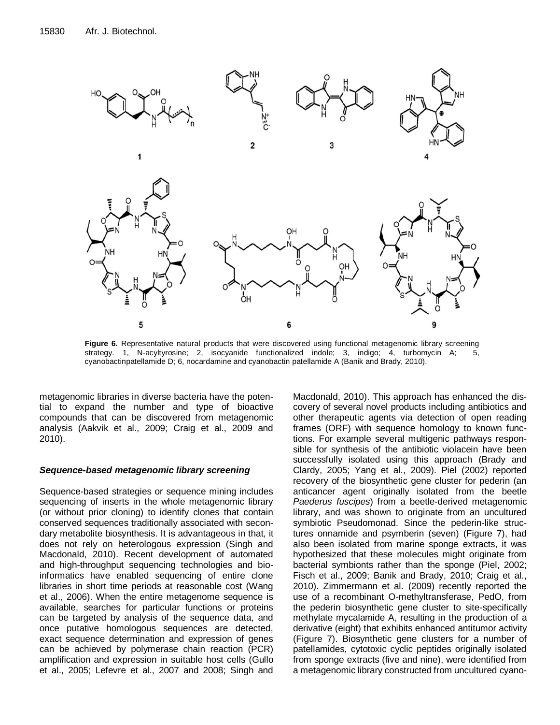

**Figure 6.** Representative natural products that were discovered using functional metagenomic library screening strategy. 1, N-acyltyrosine; 2, isocyanide functionalized indole; 3, indigo; 4, turbomycin A; 5, cyanobactinpatellamide D; 6, nocardamine and cyanobactin patellamide A (Banik and Brady, 2010).

metagenomic libraries in diverse bacteria have the potential to expand the number and type of bioactive compounds that can be discovered from metagenomic analysis (Aakvik et al., 2009; Craig et al., 2009 and 2010).

#### *Sequence-based metagenomic library screening*

Sequence-based strategies or sequence mining includes sequencing of inserts in the whole metagenomic library (or without prior cloning) to identify clones that contain conserved sequences traditionally associated with secondary metabolite biosynthesis. It is advantageous in that, it does not rely on heterologous expression (Singh and Macdonald, 2010). Recent development of automated and high-throughput sequencing technologies and bioinformatics have enabled sequencing of entire clone libraries in short time periods at reasonable cost (Wang et al., 2006). When the entire metagenome sequence is available, searches for particular functions or proteins can be targeted by analysis of the sequence data, and once putative homologous sequences are detected, exact sequence determination and expression of genes can be achieved by polymerase chain reaction (PCR) amplification and expression in suitable host cells (Gullo et al., 2005; Lefevre et al., 2007 and 2008; Singh and Macdonald, 2010). This approach has enhanced the discovery of several novel products including antibiotics and other therapeutic agents via detection of open reading frames (ORF) with sequence homology to known functions. For example several multigenic pathways responsible for synthesis of the antibiotic violacein have been successfully isolated using this approach (Brady and Clardy, 2005; Yang et al., 2009). Piel (2002) reported recovery of the biosynthetic gene cluster for pederin (an anticancer agent originally isolated from the beetle *Paederus fuscipes*) from a beetle-derived metagenomic library, and was shown to originate from an uncultured symbiotic Pseudomonad. Since the pederin-like structures onnamide and psymberin (seven) (Figure 7), had also been isolated from marine sponge extracts, it was hypothesized that these molecules might originate from bacterial symbionts rather than the sponge (Piel, 2002; Fisch et al., 2009; Banik and Brady, 2010; Craig et al., 2010). Zimmermann et al. (2009) recently reported the use of a recombinant O-methyltransferase, PedO, from the pederin biosynthetic gene cluster to site-specifically methylate mycalamide A, resulting in the production of a derivative (eight) that exhibits enhanced antitumor activity (Figure 7). Biosynthetic gene clusters for a number of patellamides, cytotoxic cyclic peptides originally isolated from sponge extracts (five and nine), were identified from a metagenomic library constructed from uncultured cyano-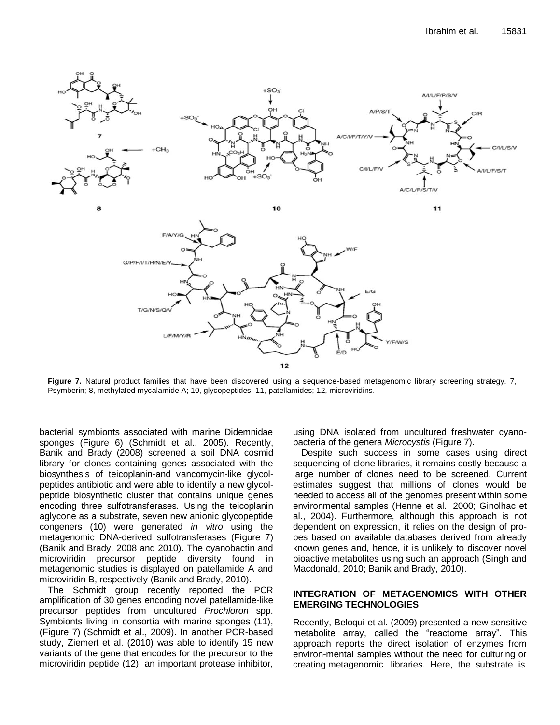

**Figure 7.** Natural product families that have been discovered using a sequence-based metagenomic library screening strategy. 7, Psymberin; 8, methylated mycalamide A; 10, glycopeptides; 11, patellamides; 12, microviridins.

bacterial symbionts associated with marine Didemnidae sponges (Figure 6) (Schmidt et al., 2005). Recently, Banik and Brady (2008) screened a soil DNA cosmid library for clones containing genes associated with the biosynthesis of teicoplanin-and vancomycin-like glycolpeptides antibiotic and were able to identify a new glycolpeptide biosynthetic cluster that contains unique genes encoding three sulfotransferases. Using the teicoplanin aglycone as a substrate, seven new anionic glycopeptide congeners (10) were generated *in vitro* using the metagenomic DNA-derived sulfotransferases (Figure 7) (Banik and Brady, 2008 and 2010). The cyanobactin and microviridin precursor peptide diversity found in metagenomic studies is displayed on patellamide A and microviridin B, respectively (Banik and Brady, 2010).

The Schmidt group recently reported the PCR amplification of 30 genes encoding novel patellamide-like precursor peptides from uncultured *Prochloron* spp. Symbionts living in consortia with marine sponges (11), (Figure 7) (Schmidt et al., 2009). In another PCR-based study, Ziemert et al. (2010) was able to identify 15 new variants of the gene that encodes for the precursor to the microviridin peptide (12), an important protease inhibitor, using DNA isolated from uncultured freshwater cyanobacteria of the genera *Microcystis* (Figure 7).

Despite such success in some cases using direct sequencing of clone libraries, it remains costly because a large number of clones need to be screened. Current estimates suggest that millions of clones would be needed to access all of the genomes present within some environmental samples (Henne et al., 2000; Ginolhac et al., 2004). Furthermore, although this approach is not dependent on expression, it relies on the design of probes based on available databases derived from already known genes and, hence, it is unlikely to discover novel bioactive metabolites using such an approach (Singh and Macdonald, 2010; Banik and Brady, 2010).

#### **INTEGRATION OF METAGENOMICS WITH OTHER EMERGING TECHNOLOGIES**

Recently, Beloqui et al. (2009) presented a new sensitive metabolite array, called the "reactome array". This approach reports the direct isolation of enzymes from environ-mental samples without the need for culturing or creating metagenomic libraries. Here, the substrate is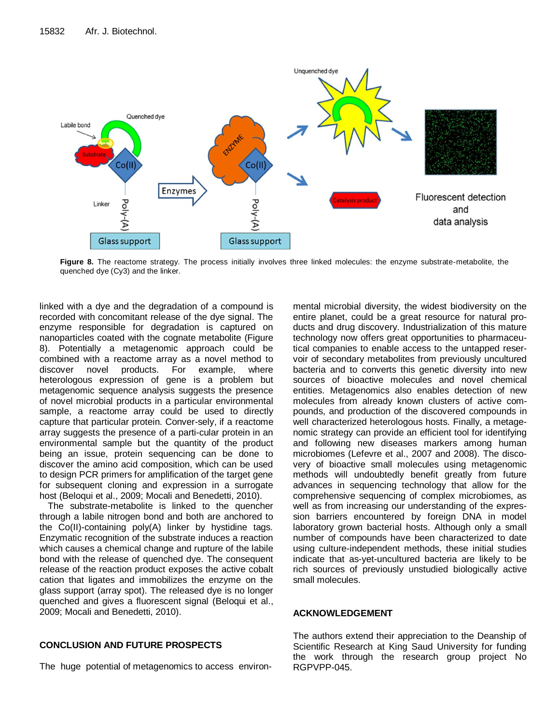

**Figure 8.** The reactome strategy. The process initially involves three linked molecules: the enzyme substrate-metabolite, the quenched dye (Cy3) and the linker.

linked with a dye and the degradation of a compound is recorded with concomitant release of the dye signal. The enzyme responsible for degradation is captured on nanoparticles coated with the cognate metabolite (Figure 8). Potentially a metagenomic approach could be combined with a reactome array as a novel method to discover novel products. For example, where heterologous expression of gene is a problem but metagenomic sequence analysis suggests the presence of novel microbial products in a particular environmental sample, a reactome array could be used to directly capture that particular protein. Conver-sely, if a reactome array suggests the presence of a parti-cular protein in an environmental sample but the quantity of the product being an issue, protein sequencing can be done to discover the amino acid composition, which can be used to design PCR primers for amplification of the target gene for subsequent cloning and expression in a surrogate host (Beloqui et al., 2009; Mocali and Benedetti, 2010).

The substrate-metabolite is linked to the quencher through a labile nitrogen bond and both are anchored to the Co(II)-containing poly(A) linker by hystidine tags. Enzymatic recognition of the substrate induces a reaction which causes a chemical change and rupture of the labile bond with the release of quenched dye. The consequent release of the reaction product exposes the active cobalt cation that ligates and immobilizes the enzyme on the glass support (array spot). The released dye is no longer quenched and gives a fluorescent signal (Beloqui et al., 2009; Mocali and Benedetti, 2010).

#### **CONCLUSION AND FUTURE PROSPECTS**

The huge potential of metagenomics to access environ-

mental microbial diversity, the widest biodiversity on the entire planet, could be a great resource for natural products and drug discovery. Industrialization of this mature technology now offers great opportunities to pharmaceutical companies to enable access to the untapped reservoir of secondary metabolites from previously uncultured bacteria and to converts this genetic diversity into new sources of bioactive molecules and novel chemical entities. Metagenomics also enables detection of new molecules from already known clusters of active compounds, and production of the discovered compounds in well characterized heterologous hosts. Finally, a metagenomic strategy can provide an efficient tool for identifying and following new diseases markers among human microbiomes (Lefevre et al., 2007 and 2008). The discovery of bioactive small molecules using metagenomic methods will undoubtedly benefit greatly from future advances in sequencing technology that allow for the comprehensive sequencing of complex microbiomes, as well as from increasing our understanding of the expression barriers encountered by foreign DNA in model laboratory grown bacterial hosts. Although only a small number of compounds have been characterized to date using culture-independent methods, these initial studies indicate that as-yet-uncultured bacteria are likely to be rich sources of previously unstudied biologically active small molecules.

#### **ACKNOWLEDGEMENT**

The authors extend their appreciation to the Deanship of Scientific Research at King Saud University for funding the work through the research group project No RGPVPP-045.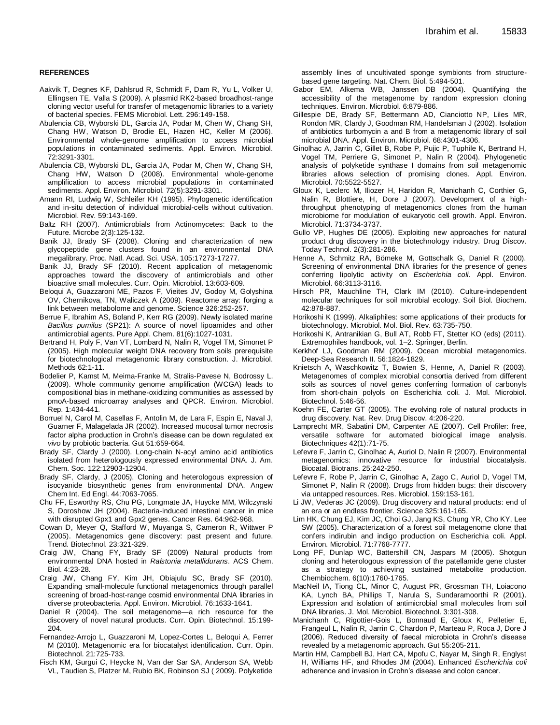#### **REFERENCES**

- Aakvik T, Degnes KF, Dahlsrud R, Schmidt F, Dam R, Yu L, Volker U, Ellingsen TE, Valla S (2009). A plasmid RK2-based broadhost-range cloning vector useful for transfer of metagenomic libraries to a variety of bacterial species. FEMS Microbiol. Lett. 296:149-158.
- Abulencia CB, Wyborski DL, Garcia JA, Podar M, Chen W, Chang SH, Chang HW, Watson D, Brodie EL, Hazen HC, Keller M (2006). Environmental whole-genome amplification to access microbial populations in contaminated sediments. Appl. Environ. Microbiol. 72:3291-3301.
- Abulencia CB, Wyborski DL, Garcia JA, Podar M, Chen W, Chang SH, Chang HW, Watson D (2008). Environmental whole-genome amplification to access microbial populations in contaminated sediments. Appl. Environ. Microbiol. 72(5):3291-3301.
- Amann RI, Ludwig W, Schleifer KH (1995). Phylogenetic identification and in-situ detection of individual microbial-cells without cultivation. Microbiol. Rev. 59:143-169.
- Baltz RH (2007). Antimicrobials from Actinomycetes: Back to the Future. Microbe 2(3):125-132.
- Banik JJ, Brady SF (2008). Cloning and characterization of new glycopeptide gene clusters found in an environmental DNA megalibrary. Proc. Natl. Acad. Sci. USA. 105:17273-17277.
- Banik JJ, Brady SF (2010). Recent application of metagenomic approaches toward the discovery of antimicrobials and other bioactive small molecules. Curr. Opin. Microbiol. 13:603-609.
- Beloqui A, Guazzaroni ME, Pazos F, Vieites JV, Godoy M, Golyshina OV, Chernikova, TN, Waliczek A (2009). Reactome array: forging a link between metabolome and genome. Science 326:252-257.
- Berrue F, Ibrahim AS, Boland P, Kerr RG (2009). Newly isolated marine *Bacillus pumilus* (SP21): A source of novel lipoamides and other antimicrobial agents. Pure Appl. Chem. 81(6):1027-1031.
- Bertrand H, Poly F, Van VT, Lombard N, Nalin R, Vogel TM, Simonet P (2005). High molecular weight DNA recovery from soils prerequisite for biotechnological metagenomic library construction. J. Microbiol. Methods 62:1-11.
- Bodelier P, Kamst M, Meima-Franke M, Stralis-Pavese N, Bodrossy L. (2009). Whole community genome amplification (WCGA) leads to compositional bias in methane-oxidizing communities as assessed by pmoA-based microarray analyses and QPCR. Environ. Microbiol. Rep. 1:434-441.
- Borruel N, Carol M, Casellas F, Antolin M, de Lara F, Espin E, Naval J, Guarner F, Malagelada JR (2002). Increased mucosal tumor necrosis factor alpha production in Crohn's disease can be down regulated ex *vivo* by probiotic bacteria. Gut 51:659-664.
- Brady SF, Clardy J (2000). Long-chain N-acyl amino acid antibiotics isolated from heterologously expressed environmental DNA. J. Am. Chem. Soc. 122:12903-12904.
- Brady SF, Clardy, J (2005). Cloning and heterologous expression of isocyanide biosynthetic genes from environmental DNA. Angew Chem Int. Ed Engl. 44:7063-7065.
- Chu FF, Esworthy RS, Chu PG, Longmate JA, Huycke MM, Wilczynski S, Doroshow JH (2004). Bacteria-induced intestinal cancer in mice with disrupted Gpx1 and Gpx2 genes. Cancer Res. 64:962-968.
- Cowan D, [Meyer Q,](http://www.ncbi.nlm.nih.gov/pubmed?term=%22Meyer%20Q%22%5BAuthor%5D) [Stafford W,](http://www.ncbi.nlm.nih.gov/pubmed?term=%22Stafford%20W%22%5BAuthor%5D) [Muyanga S,](http://www.ncbi.nlm.nih.gov/pubmed?term=%22Muyanga%20S%22%5BAuthor%5D) [Cameron R,](http://www.ncbi.nlm.nih.gov/pubmed?term=%22Cameron%20R%22%5BAuthor%5D) [Wittwer P](http://www.ncbi.nlm.nih.gov/pubmed?term=%22Wittwer%20P%22%5BAuthor%5D) (2005). Metagenomics gene discovery: past present and future. Trend. Biotechnol. 23:321-329.
- Craig JW, Chang FY, Brady SF (2009) Natural products from environmental DNA hosted in *Ralstonia metallidurans*. ACS Chem. Biol. 4:23-28.
- Craig JW, Chang FY, Kim JH, Obiajulu SC, Brady SF (2010). Expanding small-molecule functional metagenomics through parallel screening of broad-host-range cosmid environmental DNA libraries in diverse proteobacteria. Appl. Environ. Microbiol. 76:1633-1641.
- Daniel R (2004). The soil metagenome—a rich resource for the discovery of novel natural products. Curr. Opin. Biotechnol. 15:199- 204.
- Fernandez-Arrojo L, Guazzaroni M, Lopez-Cortes L, Beloqui A, Ferrer M (2010). Metagenomic era for biocatalyst identification. Curr. Opin. Biotechnol. 21:725-733.
- Fisch KM, Gurgui C, Heycke N, Van der Sar SA, Anderson SA, Webb VL, Taudien S, Platzer M, Rubio BK, Robinson SJ ( 2009). Polyketide

assembly lines of uncultivated sponge symbionts from structurebased gene targeting. Nat. Chem. Biol. 5:494-501.

- Gabor EM, Alkema WB, Janssen DB (2004). Quantifying the accessibility of the metagenome by random expression cloning techniques. Environ. Microbiol. 6:879-886.
- Gillespie DE, Brady SF, Bettermann AD, Cianciotto NP, Liles MR, Rondon MR, Clardy J, Goodman RM, Handelsman J (2002). Isolation of antibiotics turbomycin a and B from a metagenomic library of soil microbial DNA. Appl. Environ. Microbiol. 68:4301-4306.
- Ginolhac A, Jarrin C, Gillet B, Robe P, Pujic P, Tuphile K, Bertrand H, Vogel TM, Perriere G, Simonet P, Nalin R (2004). Phylogenetic analysis of polyketide synthase I domains from soil metagenomic libraries allows selection of promising clones. Appl. Environ. Microbiol. 70:5522-5527.
- Gloux K, Leclerc M, Iliozer H, Haridon R, Manichanh C, Corthier G, Nalin R, Blottiere, H, Dore J (2007). Development of a highthroughput phenotyping of metagenomics clones from the human microbiome for modulation of eukaryotic cell growth. Appl. Environ. Microbiol. 71:3734-3737.
- Gullo VP, Hughes DE (2005). Exploiting new approaches for natural product drug discovery in the biotechnology industry. Drug Discov. Today Technol. 2(3):281-286.
- Henne A, Schmitz RA, Bömeke M, Gottschalk G, Daniel R (2000). Screening of environmental DNA libraries for the presence of genes conferring lipolytic activity on *Escherichia coli*. Appl. Environ. Microbiol. 66:3113-3116.
- Hirsch PR, Mauchline TH, Clark IM (2010). Culture-independent molecular techniques for soil microbial ecology. Soil Biol. Biochem. 42:878-887.
- Horikoshi K (1999). Alkaliphiles: some applications of their products for biotechnology. Microbiol. Mol. Biol. Rev. 63:735-750.
- Horikoshi K, Antranikian G, Bull AT, Robb FT, Stetter KO (eds) (2011). Extremophiles handbook, vol. 1–2. Springer, Berlin.
- Kerkhof LJ, Goodman RM (2009). Ocean microbial metagenomics. Deep-Sea Research II. 56:1824-1829.
- Knietsch A, Waschkowitz T, Bowien S, Henne, A, Daniel R (2003). Metagenomes of complex microbial consortia derived from different soils as sources of novel genes conferring formation of carbonyls from short-chain polyols on Escherichia coli. J. Mol. Microbiol. Biotechnol. 5:46-56.
- Koehn FE, Carter GT (2005). The evolving role of natural products in drug discovery. Nat. Rev. Drug Discov. 4:206-220.
- Lamprecht MR, Sabatini DM, Carpenter AE (2007). Cell Profiler: free, versatile software for automated biological image analysis. Biotechniques 42(1):71-75.
- Lefevre F, Jarrin C, Ginolhac A, Auriol D, Nalin R (2007). Environmental metagenomics: innovative resource for industrial biocatalysis. Biocatal. Biotrans. 25:242-250.
- Lefevre F, Robe P, Jarrin C, Ginolhac A, Zago C, Auriol D, Vogel TM, Simonet P, Nalin R (2008). Drugs from hidden bugs: their discovery via untapped resources. Res. Microbiol. 159:153-161.
- Li JW, Vederas JC (2009). Drug discovery and natural products: end of an era or an endless frontier. Science 325:161-165.
- Lim HK, Chung EJ, Kim JC, Choi GJ, Jang KS, Chung YR, Cho KY, Lee SW (2005). Characterization of a forest soil metagenome clone that confers indirubin and indigo production on Escherichia coli. Appl. Environ. Microbiol. 71:7768-7777.
- Long PF, Dunlap WC, Battershill CN, Jaspars M (2005). Shotgun cloning and heterologous expression of the patellamide gene cluster as a strategy to achieving sustained metabolite production. Chembiochem. 6(10):1760-1765.
- MacNeil IA, Tiong CL, Minor C, August PR, Grossman TH, Loiacono KA, Lynch BA, Phillips T, Narula S, Sundaramoorthi R (2001). Expression and isolation of antimicrobial small molecules from soil DNA libraries. J. Mol. Microbiol. Biotechnol. 3:301-308.
- Manichanh C, Rigottier-Gois L, Bonnaud E, Gloux K, Pelletier E, Frangeul L, Nalin R, Jarrin C, Chardon P, Marteau P, Roca J, Dore J (2006). Reduced diversity of faecal microbiota in Crohn's disease revealed by a metagenomic approach. Gut 55:205-211.
- Martin HM, Campbell BJ, Hart CA, Mpofu C, Nayar M, Singh R, Englyst H, Williams HF, and Rhodes JM (2004). Enhanced *Escherichia coli* adherence and invasion in Crohn's disease and colon cancer.